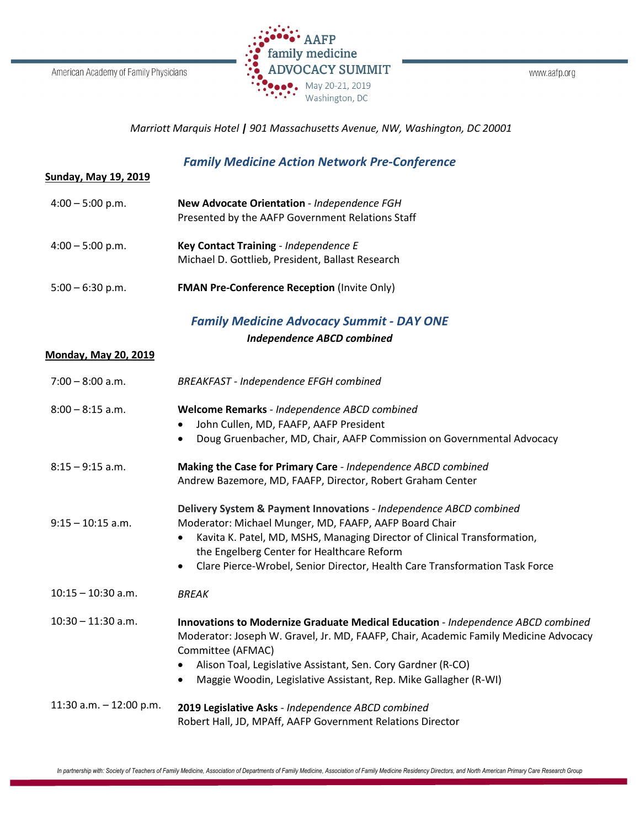

www.aafp.org

## *Marriott Marquis Hotel | 901 Massachusetts Avenue, NW, Washington, DC 20001*

## *Family Medicine Action Network Pre-Conference*

| <u>Sunday, May 19, 2019</u> |  |  |
|-----------------------------|--|--|
|                             |  |  |

| $4:00 - 5:00$ p.m. | New Advocate Orientation - Independence FGH<br>Presented by the AAFP Government Relations Staff |
|--------------------|-------------------------------------------------------------------------------------------------|
| $4:00 - 5:00$ p.m. | Key Contact Training - Independence E<br>Michael D. Gottlieb, President, Ballast Research       |

5:00 – 6:30 p.m. **FMAN Pre-Conference Reception** (Invite Only)

## *Family Medicine Advocacy Summit - DAY ONE*

*Independence ABCD combined*

## **Monday, May 20, 2019**

| $7:00 - 8:00$ a.m.        | <b>BREAKFAST - Independence EFGH combined</b>                                                                                                                                                                                                                                                                                                                   |
|---------------------------|-----------------------------------------------------------------------------------------------------------------------------------------------------------------------------------------------------------------------------------------------------------------------------------------------------------------------------------------------------------------|
| $8:00 - 8:15$ a.m.        | Welcome Remarks - Independence ABCD combined<br>John Cullen, MD, FAAFP, AAFP President<br>$\bullet$<br>Doug Gruenbacher, MD, Chair, AAFP Commission on Governmental Advocacy<br>$\bullet$                                                                                                                                                                       |
| $8:15 - 9:15$ a.m.        | Making the Case for Primary Care - Independence ABCD combined<br>Andrew Bazemore, MD, FAAFP, Director, Robert Graham Center                                                                                                                                                                                                                                     |
| $9:15 - 10:15$ a.m.       | Delivery System & Payment Innovations - Independence ABCD combined<br>Moderator: Michael Munger, MD, FAAFP, AAFP Board Chair<br>Kavita K. Patel, MD, MSHS, Managing Director of Clinical Transformation,<br>$\bullet$<br>the Engelberg Center for Healthcare Reform<br>Clare Pierce-Wrobel, Senior Director, Health Care Transformation Task Force<br>$\bullet$ |
| $10:15 - 10:30$ a.m.      | <b>BREAK</b>                                                                                                                                                                                                                                                                                                                                                    |
| $10:30 - 11:30$ a.m.      | Innovations to Modernize Graduate Medical Education - Independence ABCD combined<br>Moderator: Joseph W. Gravel, Jr. MD, FAAFP, Chair, Academic Family Medicine Advocacy<br>Committee (AFMAC)<br>Alison Toal, Legislative Assistant, Sen. Cory Gardner (R-CO)<br>$\bullet$<br>Maggie Woodin, Legislative Assistant, Rep. Mike Gallagher (R-WI)<br>$\bullet$     |
| 11:30 a.m. $-$ 12:00 p.m. | 2019 Legislative Asks - Independence ABCD combined<br>Robert Hall, JD, MPAff, AAFP Government Relations Director                                                                                                                                                                                                                                                |